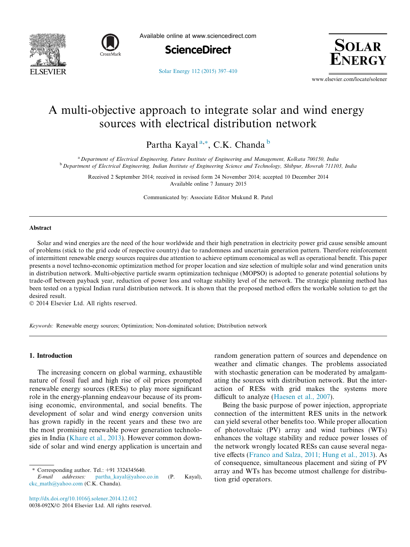



Available online at www.sciencedirect.com



**SOLAR** 

[Solar Energy 112 \(2015\) 397–410](http://dx.doi.org/10.1016/j.solener.2014.12.012)

www.elsevier.com/locate/solener

## A multi-objective approach to integrate solar and wind energy sources with electrical distribution network

Partha Kayal<sup>a,\*</sup>, C.K. Chanda <sup>b</sup>

a Department of Electrical Engineering, Future Institute of Engineering and Management, Kolkata 700150, India <sup>b</sup> Department of Electrical Engineering, Indian Institute of Engineering Science and Technology, Shibpur, Howrah 711103, India

Received 2 September 2014; received in revised form 24 November 2014; accepted 10 December 2014 Available online 7 January 2015

Communicated by: Associate Editor Mukund R. Patel

## Abstract

Solar and wind energies are the need of the hour worldwide and their high penetration in electricity power grid cause sensible amount of problems (stick to the grid code of respective country) due to randomness and uncertain generation pattern. Therefore reinforcement of intermittent renewable energy sources requires due attention to achieve optimum economical as well as operational benefit. This paper presents a novel techno-economic optimization method for proper location and size selection of multiple solar and wind generation units in distribution network. Multi-objective particle swarm optimization technique (MOPSO) is adopted to generate potential solutions by trade-off between payback year, reduction of power loss and voltage stability level of the network. The strategic planning method has been tested on a typical Indian rural distribution network. It is shown that the proposed method offers the workable solution to get the desired result.

© 2014 Elsevier Ltd. All rights reserved.

Keywords: Renewable energy sources; Optimization; Non-dominated solution; Distribution network

## 1. Introduction

The increasing concern on global warming, exhaustible nature of fossil fuel and high rise of oil prices prompted renewable energy sources (RESs) to play more significant role in the energy-planning endeavour because of its promising economic, environmental, and social benefits. The development of solar and wind energy conversion units has grown rapidly in the recent years and these two are the most promising renewable power generation technologies in India ([Khare et al., 2013\)](#page--1-0). However common downside of solar and wind energy application is uncertain and random generation pattern of sources and dependence on weather and climatic changes. The problems associated with stochastic generation can be moderated by amalgamating the sources with distribution network. But the interaction of RESs with grid makes the systems more difficult to analyze ([Haesen et al., 2007\)](#page--1-0).

Being the basic purpose of power injection, appropriate connection of the intermittent RES units in the network can yield several other benefits too. While proper allocation of photovoltaic (PV) array and wind turbines (WTs) enhances the voltage stability and reduce power losses of the network wrongly located RESs can cause several negative effects ([Franco and Salza, 2011; Hung et al., 2013](#page--1-0)). As of consequence, simultaneous placement and sizing of PV array and WTs has become utmost challenge for distribution grid operators.

Corresponding author. Tel.: +91 3324345640.

E-mail addresses: [partha\\_kayal@yahoo.co.in](mailto:partha_kayal@yahoo.co.in) (P. Kayal), [ckc\\_math@yahoo.com](mailto:ckc_math@yahoo.com) (C.K. Chanda).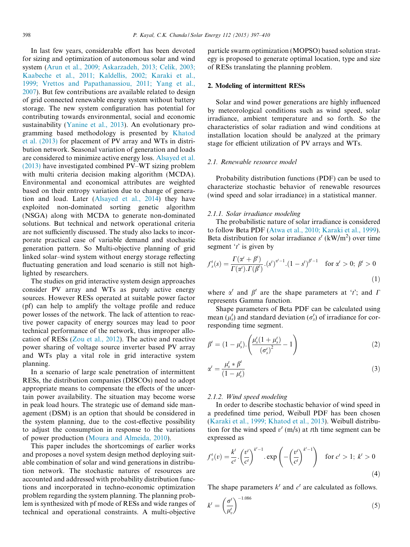In last few years, considerable effort has been devoted for sizing and optimization of autonomous solar and wind system [\(Arun et al., 2009; Askarzadeh, 2013; Celik, 2003;](#page--1-0) [Kaabeche et al., 2011; Kaldellis, 2002; Karaki et al.,](#page--1-0) [1999; Vrettos and Papathanassiou, 2011; Yang et al.,](#page--1-0) [2007\)](#page--1-0). But few contributions are available related to design of grid connected renewable energy system without battery storage. The new system configuration has potential for contributing towards environmental, social and economic sustainability ([Yanine et al., 2013](#page--1-0)). An evolutionary programming based methodology is presented by [Khatod](#page--1-0) [et al. \(2013\)](#page--1-0) for placement of PV array and WTs in distribution network. Seasonal variation of generation and loads are considered to minimize active energy loss. [Alsayed et al.](#page--1-0) [\(2013\)](#page--1-0) have investigated combined PV–WT sizing problem with multi criteria decision making algorithm (MCDA). Environmental and economical attributes are weighted based on their entropy variation due to change of generation and load. Later ([Alsayed et al., 2014](#page--1-0)) they have exploited non-dominated sorting genetic algorithm (NSGA) along with MCDA to generate non-dominated solutions. But technical and network operational criteria are not sufficiently discussed. The study also lacks to incorporate practical case of variable demand and stochastic generation pattern. So Multi-objective planning of grid linked solar–wind system without energy storage reflecting fluctuating generation and load scenario is still not highlighted by researchers.

The studies on grid interactive system design approaches consider PV array and WTs as purely active energy sources. However RESs operated at suitable power factor (pf) can help to amplify the voltage profile and reduce power losses of the network. The lack of attention to reactive power capacity of energy sources may lead to poor technical performance of the network, thus improper allocation of RESs [\(Zou et al., 2012\)](#page--1-0). The active and reactive power sharing of voltage source inverter based PV array and WTs play a vital role in grid interactive system planning.

In a scenario of large scale penetration of intermittent RESs, the distribution companies (DISCOs) need to adopt appropriate means to compensate the effects of the uncertain power availability. The situation may become worse in peak load hours. The strategic use of demand side management (DSM) is an option that should be considered in the system planning, due to the cost-effective possibility to adjust the consumption in response to the variations of power production ([Moura and Almeida, 2010](#page--1-0)).

This paper includes the shortcomings of earlier works and proposes a novel system design method deploying suitable combination of solar and wind generations in distribution network. The stochastic natures of resources are accounted and addressed with probability distribution functions and incorporated in techno-economic optimization problem regarding the system planning. The planning problem is synthesized with pf mode of RESs and wide ranges of technical and operational constraints. A multi-objective particle swarm optimization (MOPSO) based solution strategy is proposed to generate optimal location, type and size of RESs translating the planning problem.

#### 2. Modeling of intermittent RESs

Solar and wind power generations are highly influenced by meteorological conditions such as wind speed, solar irradiance, ambient temperature and so forth. So the characteristics of solar radiation and wind conditions at installation location should be analyzed at the primary stage for efficient utilization of PV arrays and WTs.

## 2.1. Renewable resource model

Probability distribution functions (PDF) can be used to characterize stochastic behavior of renewable resources (wind speed and solar irradiance) in a statistical manner.

#### 2.1.1. Solar irradiance modeling

The probabilistic nature of solar irradiance is considered to follow Beta PDF [\(Atwa et al., 2010; Karaki et al., 1999\)](#page--1-0). Beta distribution for solar irradiance  $s^t$  (kW/m<sup>2</sup>) over time segment  $t'$  is given by

$$
f'_{s}(s) = \frac{\Gamma(\alpha^{t} + \beta^{t})}{\Gamma(\alpha^{t}) \cdot \Gamma(\beta^{t})} \cdot (s^{t})^{\alpha^{t} - 1} \cdot (1 - s^{t})^{\beta^{t} - 1} \quad \text{for } \alpha^{t} > 0; \ \beta^{t} > 0
$$
\n(1)

where  $\alpha^t$  and  $\beta^t$  are the shape parameters at 't'; and  $\Gamma$ represents Gamma function.

Shape parameters of Beta PDF can be calculated using mean  $(\mu_s^t)$  and standard deviation  $(\sigma_s^t)$  of irradiance for corresponding time segment.

$$
\beta^{t} = (1 - \mu_{s}^{t}).\left(\frac{\mu_{s}^{t}(1 + \mu_{s}^{t})}{(\sigma_{s}^{t})^{2}} - 1\right)
$$
\n(2)

$$
\alpha^t = \frac{\mu_s^t * \beta^t}{(1 - \mu_s^t)}\tag{3}
$$

#### 2.1.2. Wind speed modeling

In order to describe stochastic behavior of wind speed in a predefined time period, Weibull PDF has been chosen [\(Karaki et al., 1999; Khatod et al., 2013\)](#page--1-0). Weibull distribution for the wind speed  $v^t$  (m/s) at the time segment can be expressed as

$$
f'_{v}(v) = \frac{k'}{c'} \cdot \left(\frac{v'}{c'}\right)^{k'-1} \cdot \exp\left(-\left(\frac{v'}{c'}\right)^{k'-1}\right) \quad \text{for } c' > 1; \ k' > 0
$$
\n(4)

The shape parameters  $k^t$  and  $c^t$  are calculated as follows.

$$
k^t = \left(\frac{\sigma^t}{\mu_v^t}\right)^{-1.086} \tag{5}
$$